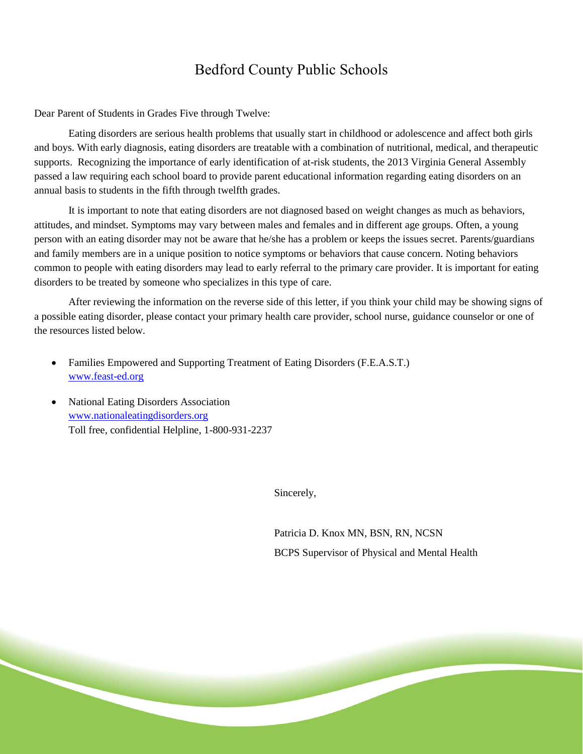## Bedford County Public Schools

Dear Parent of Students in Grades Five through Twelve:

Eating disorders are serious health problems that usually start in childhood or adolescence and affect both girls and boys. With early diagnosis, eating disorders are treatable with a combination of nutritional, medical, and therapeutic supports. Recognizing the importance of early identification of at-risk students, the 2013 Virginia General Assembly passed a law requiring each school board to provide parent educational information regarding eating disorders on an annual basis to students in the fifth through twelfth grades.

It is important to note that eating disorders are not diagnosed based on weight changes as much as behaviors, attitudes, and mindset. Symptoms may vary between males and females and in different age groups. Often, a young person with an eating disorder may not be aware that he/she has a problem or keeps the issues secret. Parents/guardians and family members are in a unique position to notice symptoms or behaviors that cause concern. Noting behaviors common to people with eating disorders may lead to early referral to the primary care provider. It is important for eating disorders to be treated by someone who specializes in this type of care.

After reviewing the information on the reverse side of this letter, if you think your child may be showing signs of a possible eating disorder, please contact your primary health care provider, school nurse, guidance counselor or one of the resources listed below.

- Families Empowered and Supporting Treatment of Eating Disorders (F.E.A.S.T.) [www.feast-ed.org](http://www.feast-ed.org/)
- National Eating Disorders Association [www.nationaleatingdisorders.org](http://www.nationaleatingdisorders.org/) Toll free, confidential Helpline, 1-800-931-2237

Sincerely,

Patricia D. Knox MN, BSN, RN, NCSN BCPS Supervisor of Physical and Mental Health